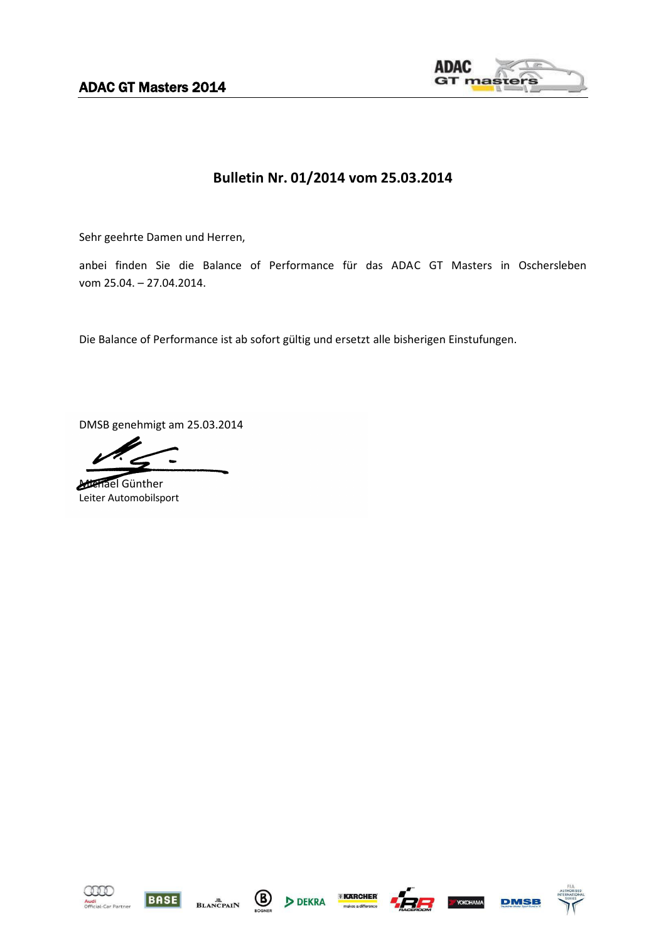ADAC GT Masters 2014



## **Bulletin Nr. 01/2014 vom 25.03.2014**

Sehr geehrte Damen und Herren,

anbei finden Sie die Balance of Performance für das ADAC GT Masters in Oschersleben vom 25.04. – 27.04.2014.

Die Balance of Performance ist ab sofort gültig und ersetzt alle bisherigen Einstufungen.

DMSB genehmigt am 25.03.2014

Michael Günther Leiter Automobilsport













**DMSB** 

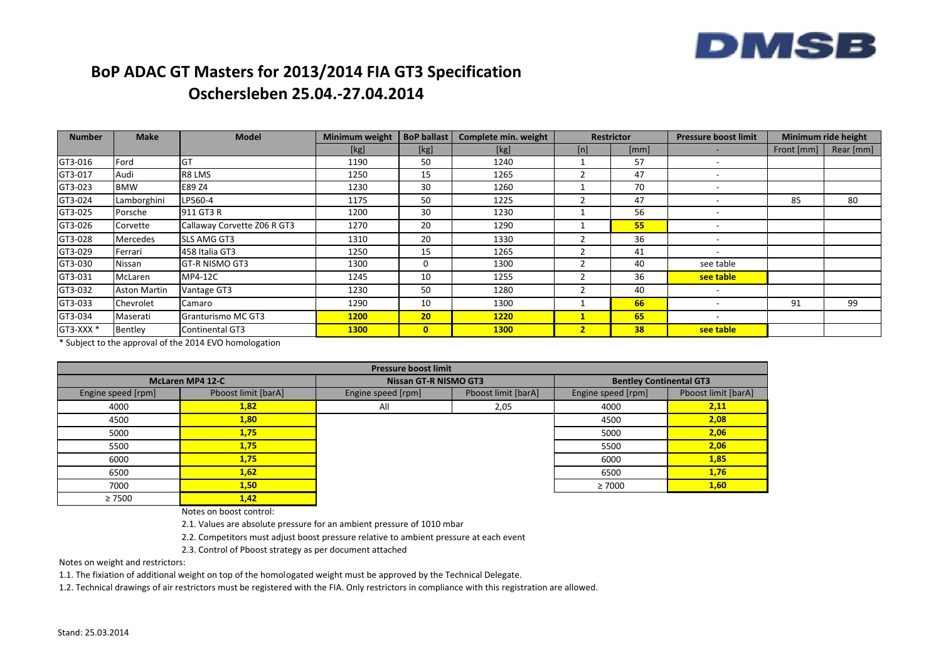

## **BoP ADAC GT Masters for 2013/2014 FIA GT3 Specification Oschersleben 25.04.-27.04.2014**

| <b>Number</b>        | <b>Make</b>         | <b>Model</b>                | Minimum weight | <b>BoP ballast</b> | Complete min. weight | <b>Restrictor</b> |      | <b>Pressure boost limit</b> | Minimum ride height |           |
|----------------------|---------------------|-----------------------------|----------------|--------------------|----------------------|-------------------|------|-----------------------------|---------------------|-----------|
|                      |                     |                             | [kg]           | [kg]               | [kg]                 | [n]               | [mm] |                             | Front [mm]          | Rear [mm] |
| GT3-016              | Ford                | GT                          | 1190           | 50                 | 1240                 |                   | 57   |                             |                     |           |
| GT3-017              | Audi                | R8 LMS                      | 1250           | 15                 | 1265                 |                   | 47   |                             |                     |           |
| GT3-023              | <b>BMW</b>          | E89 Z4                      | 1230           | 30                 | 1260                 |                   | 70   |                             |                     |           |
| GT3-024              | Lamborghini         | LP560-4                     | 1175           | 50                 | 1225                 |                   | 47   | $\overline{\phantom{0}}$    | 85                  | 80        |
| GT3-025              | Porsche             | 911 GT3 R                   | 1200           | 30                 | 1230                 |                   | 56   |                             |                     |           |
| GT3-026              | Corvette            | Callaway Corvette Z06 R GT3 | 1270           | 20                 | 1290                 |                   | 55   |                             |                     |           |
| GT3-028              | Mercedes            | <b>SLS AMG GT3</b>          | 1310           | 20                 | 1330                 |                   | 36   |                             |                     |           |
| GT3-029              | Ferrari             | 458 Italia GT3              | 1250           | 15                 | 1265                 |                   | 41   |                             |                     |           |
| GT3-030              | Nissan              | <b>GT-R NISMO GT3</b>       | 1300           | 0                  | 1300                 |                   | 40   | see table                   |                     |           |
| GT3-031              | McLaren             | MP4-12C                     | 1245           | 10                 | 1255                 |                   | 36   | see table                   |                     |           |
| GT3-032              | <b>Aston Martin</b> | Vantage GT3                 | 1230           | 50                 | 1280                 |                   | 40   |                             |                     |           |
| GT3-033              | Chevrolet           | Camaro                      | 1290           | 10                 | 1300                 |                   | 66   |                             | 91                  | 99        |
| GT3-034              | Maserati            | Granturismo MC GT3          | <b>1200</b>    | 20                 | <b>1220</b>          | $\mathbf{1}$      | 65   |                             |                     |           |
| GT3-XXX <sup>*</sup> | Bentley             | <b>Continental GT3</b>      | <b>1300</b>    | $\mathbf{0}$       | <b>1300</b>          | $\overline{2}$    | 38   | see table                   |                     |           |

\* Subject to the approval of the 2014 EVO homologation

| <b>Pressure boost limit</b> |                         |                                           |      |                                |                     |  |  |
|-----------------------------|-------------------------|-------------------------------------------|------|--------------------------------|---------------------|--|--|
|                             | <b>McLaren MP4 12-C</b> | <b>Nissan GT-R NISMO GT3</b>              |      | <b>Bentley Continental GT3</b> |                     |  |  |
| Engine speed [rpm]          | Pboost limit [barA]     | Pboost limit [barA]<br>Engine speed [rpm] |      | Engine speed [rpm]             | Pboost limit [barA] |  |  |
| 4000                        | 1,82                    | All                                       | 2,05 | 4000                           | 2,11                |  |  |
| 4500                        | 1,80                    |                                           |      | 4500                           | 2,08                |  |  |
| 5000                        | 1,75                    |                                           |      | 5000                           | 2,06                |  |  |
| 5500                        | 1,75                    |                                           |      | 5500                           | 2,06                |  |  |
| 6000                        | 1,75                    |                                           |      | 6000                           | 1,85                |  |  |
| 6500                        | 1,62                    |                                           |      | 6500                           | 1,76                |  |  |
| 7000                        | 1,50                    |                                           |      | $\geq 7000$                    | 1,60                |  |  |
| $\geq 7500$                 | 1,42                    |                                           |      |                                |                     |  |  |

Notes on boost control:

2.1. Values are absolute pressure for an ambient pressure of 1010 mbar

2.2. Competitors must adjust boost pressure relative to ambient pressure at each event

2.3. Control of Pboost strategy as per document attached

Notes on weight and restrictors:

1.1. The fixiation of additional weight on top of the homologated weight must be approved by the Technical Delegate.

1.2. Technical drawings of air restrictors must be registered with the FIA. Only restrictors in compliance with this registration are allowed.